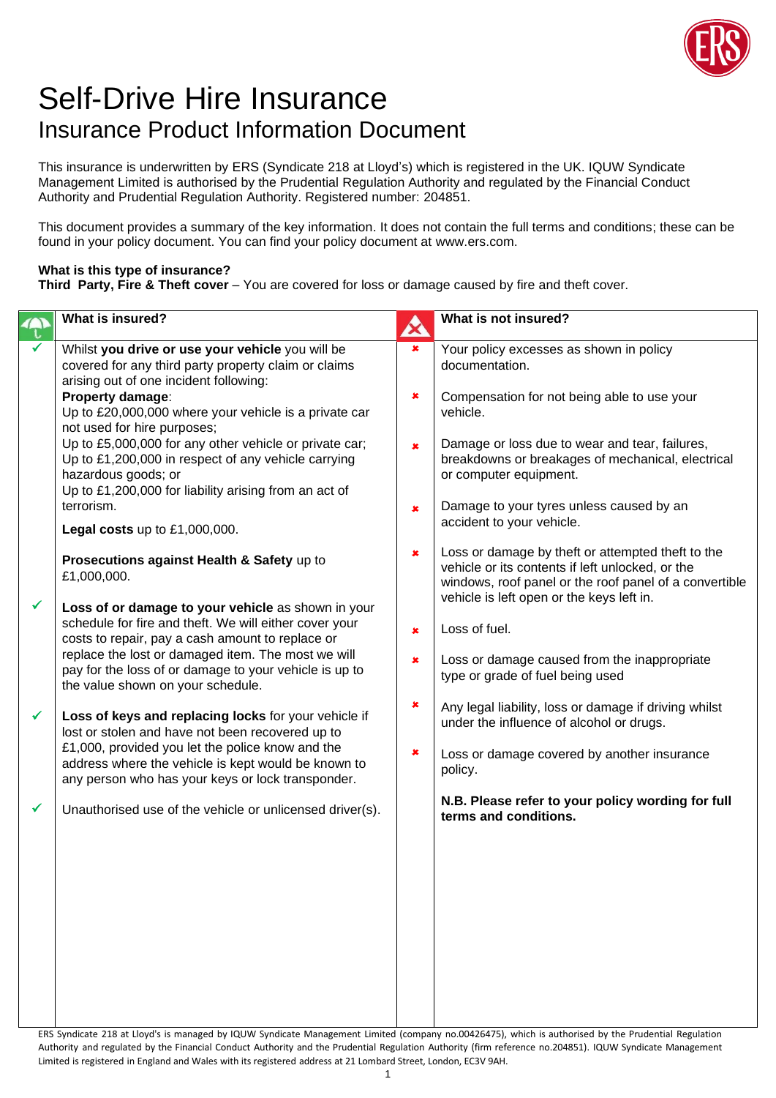

## Self-Drive Hire Insurance Insurance Product Information Document

This insurance is underwritten by ERS (Syndicate 218 at Lloyd's) which is registered in the UK. IQUW Syndicate Management Limited is authorised by the Prudential Regulation Authority and regulated by the Financial Conduct Authority and Prudential Regulation Authority. Registered number: 204851.

This document provides a summary of the key information. It does not contain the full terms and conditions; these can be found in your policy document. You can find your policy document at www.ers.com.

## **What is this type of insurance?**

**Third Party, Fire & Theft cover** – You are covered for loss or damage caused by fire and theft cover.

|   | What is insured?                                                                                                                                                                                                                                                                 | ☎                      | What is not insured?                                                                                                                                                      |
|---|----------------------------------------------------------------------------------------------------------------------------------------------------------------------------------------------------------------------------------------------------------------------------------|------------------------|---------------------------------------------------------------------------------------------------------------------------------------------------------------------------|
|   | Whilst you drive or use your vehicle you will be<br>covered for any third party property claim or claims<br>arising out of one incident following:<br>Property damage:<br>Up to £20,000,000 where your vehicle is a private car                                                  | ×<br>×                 | Your policy excesses as shown in policy<br>documentation.<br>Compensation for not being able to use your<br>vehicle.                                                      |
|   | not used for hire purposes;<br>Up to £5,000,000 for any other vehicle or private car;<br>Up to £1,200,000 in respect of any vehicle carrying<br>hazardous goods; or<br>Up to £1,200,000 for liability arising from an act of<br>terrorism.                                       | $\pmb{x}$<br>$\pmb{x}$ | Damage or loss due to wear and tear, failures,<br>breakdowns or breakages of mechanical, electrical<br>or computer equipment.<br>Damage to your tyres unless caused by an |
|   | Legal costs up to £1,000,000.                                                                                                                                                                                                                                                    |                        | accident to your vehicle.                                                                                                                                                 |
|   | Prosecutions against Health & Safety up to<br>£1,000,000.                                                                                                                                                                                                                        | ×                      | Loss or damage by theft or attempted theft to the<br>vehicle or its contents if left unlocked, or the<br>windows, roof panel or the roof panel of a convertible           |
| ✔ | Loss of or damage to your vehicle as shown in your<br>schedule for fire and theft. We will either cover your<br>costs to repair, pay a cash amount to replace or<br>replace the lost or damaged item. The most we will<br>pay for the loss of or damage to your vehicle is up to | $\pmb{x}$<br>×         | vehicle is left open or the keys left in.<br>Loss of fuel.<br>Loss or damage caused from the inappropriate<br>type or grade of fuel being used                            |
| ✓ | the value shown on your schedule.<br>Loss of keys and replacing locks for your vehicle if<br>lost or stolen and have not been recovered up to<br>£1,000, provided you let the police know and the<br>address where the vehicle is kept would be known to                         | ×<br>×                 | Any legal liability, loss or damage if driving whilst<br>under the influence of alcohol or drugs.<br>Loss or damage covered by another insurance<br>policy.               |
|   | any person who has your keys or lock transponder.<br>Unauthorised use of the vehicle or unlicensed driver(s).                                                                                                                                                                    |                        | N.B. Please refer to your policy wording for full<br>terms and conditions.                                                                                                |
|   |                                                                                                                                                                                                                                                                                  |                        |                                                                                                                                                                           |

ERS Syndicate 218 at Lloyd's is managed by IQUW Syndicate Management Limited (company no.00426475), which is authorised by the Prudential Regulation Authority and regulated by the Financial Conduct Authority and the Prudential Regulation Authority (firm reference no.204851). IQUW Syndicate Management Limited is registered in England and Wales with its registered address at 21 Lombard Street, London, EC3V 9AH.